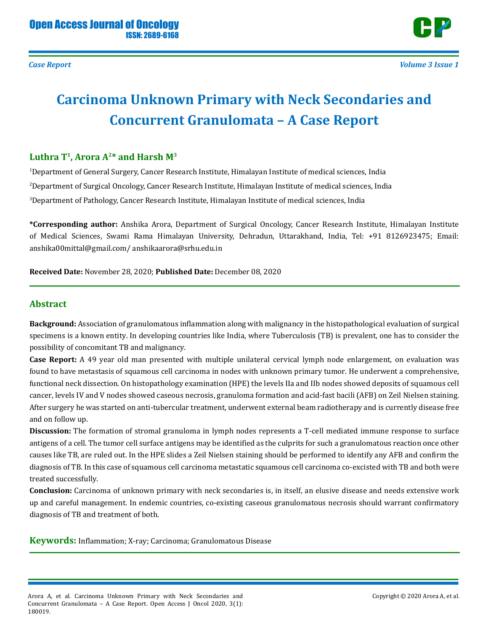

*Case Report Volume 3 Issue 1*

# **Carcinoma Unknown Primary with Neck Secondaries and Concurrent Granulomata – A Case Report**

## **Luthra T1, Arora A2\* and Harsh M3**

1 Department of General Surgery, Cancer Research Institute, Himalayan Institute of medical sciences, India 2 Department of Surgical Oncology, Cancer Research Institute, Himalayan Institute of medical sciences, India 3 Department of Pathology, Cancer Research Institute, Himalayan Institute of medical sciences, India

**\*Corresponding author:** Anshika Arora, Department of Surgical Oncology, Cancer Research Institute, Himalayan Institute of Medical Sciences, Swami Rama Himalayan University, Dehradun, Uttarakhand, India, Tel: +91 8126923475; Email: anshika00mittal@gmail.com/ anshikaarora@srhu.edu.in

**Received Date:** November 28, 2020; **Published Date:** December 08, 2020

### **Abstract**

**Background:** Association of granulomatous inflammation along with malignancy in the histopathological evaluation of surgical specimens is a known entity. In developing countries like India, where Tuberculosis (TB) is prevalent, one has to consider the possibility of concomitant TB and malignancy.

**Case Report:** A 49 year old man presented with multiple unilateral cervical lymph node enlargement, on evaluation was found to have metastasis of squamous cell carcinoma in nodes with unknown primary tumor. He underwent a comprehensive, functional neck dissection. On histopathology examination (HPE) the levels IIa and IIb nodes showed deposits of squamous cell cancer, levels IV and V nodes showed caseous necrosis, granuloma formation and acid-fast bacili (AFB) on Zeil Nielsen staining. After surgery he was started on anti-tubercular treatment, underwent external beam radiotherapy and is currently disease free and on follow up.

**Discussion:** The formation of stromal granuloma in lymph nodes represents a T-cell mediated immune response to surface antigens of a cell. The tumor cell surface antigens may be identified as the culprits for such a granulomatous reaction once other causes like TB, are ruled out. In the HPE slides a Zeil Nielsen staining should be performed to identify any AFB and confirm the diagnosis of TB. In this case of squamous cell carcinoma metastatic squamous cell carcinoma co-excisted with TB and both were treated successfully.

**Conclusion:** Carcinoma of unknown primary with neck secondaries is, in itself, an elusive disease and needs extensive work up and careful management. In endemic countries, co-existing caseous granulomatous necrosis should warrant confirmatory diagnosis of TB and treatment of both.

**Keywords:** Inflammation; X-ray; Carcinoma; Granulomatous Disease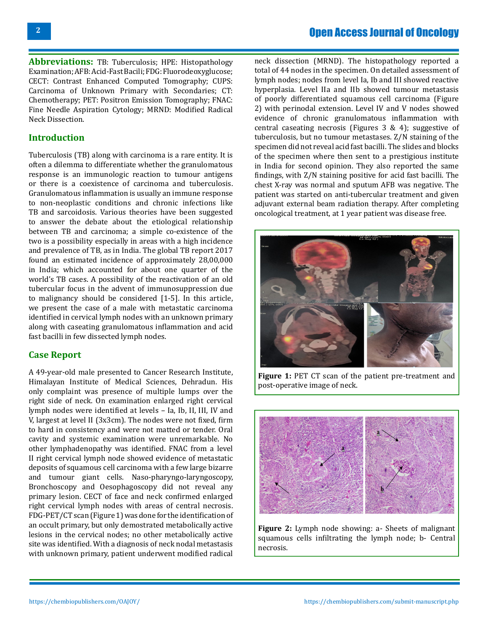**Abbreviations:** TB: Tuberculosis; HPE: Histopathology Examination; AFB: Acid-Fast Bacili; FDG: Fluorodeoxyglucose; CECT: Contrast Enhanced Computed Tomography; CUPS: Carcinoma of Unknown Primary with Secondaries; CT: Chemotherapy; PET: Positron Emission Tomography; FNAC: Fine Needle Aspiration Cytology; MRND: Modified Radical Neck Dissection.

#### **Introduction**

Tuberculosis (TB) along with carcinoma is a rare entity. It is often a dilemma to differentiate whether the granulomatous response is an immunologic reaction to tumour antigens or there is a coexistence of carcinoma and tuberculosis. Granulomatous inflammation is usually an immune response to non-neoplastic conditions and chronic infections like TB and sarcoidosis. Various theories have been suggested to answer the debate about the etiological relationship between TB and carcinoma; a simple co-existence of the two is a possibility especially in areas with a high incidence and prevalence of TB, as in India. The global TB report 2017 found an estimated incidence of approximately 28,00,000 in India; which accounted for about one quarter of the world's TB cases. A possibility of the reactivation of an old tubercular focus in the advent of immunosuppression due to malignancy should be considered [1-5]. In this article, we present the case of a male with metastatic carcinoma identified in cervical lymph nodes with an unknown primary along with caseating granulomatous inflammation and acid fast bacilli in few dissected lymph nodes.

### **Case Report**

A 49-year-old male presented to Cancer Research Institute, Himalayan Institute of Medical Sciences, Dehradun. His only complaint was presence of multiple lumps over the right side of neck. On examination enlarged right cervical lymph nodes were identified at levels – Ia, Ib, II, III, IV and V, largest at level II (3x3cm). The nodes were not fixed, firm to hard in consistency and were not matted or tender. Oral cavity and systemic examination were unremarkable. No other lymphadenopathy was identified. FNAC from a level II right cervical lymph node showed evidence of metastatic deposits of squamous cell carcinoma with a few large bizarre and tumour giant cells. Naso-pharyngo-laryngoscopy, Bronchoscopy and Oesophagoscopy did not reveal any primary lesion. CECT of face and neck confirmed enlarged right cervical lymph nodes with areas of central necrosis. FDG-PET/CT scan (Figure 1) was done for the identification of an occult primary, but only demostrated metabolically active lesions in the cervical nodes; no other metabolically active site was identified. With a diagnosis of neck nodal metastasis with unknown primary, patient underwent modified radical

neck dissection (MRND). The histopathology reported a total of 44 nodes in the specimen. On detailed assessment of lymph nodes; nodes from level Ia, Ib and III showed reactive hyperplasia. Level IIa and IIb showed tumour metastasis of poorly differentiated squamous cell carcinoma (Figure 2) with perinodal extension. Level IV and V nodes showed evidence of chronic granulomatous inflammation with central caseating necrosis (Figures 3 & 4); suggestive of tuberculosis, but no tumour metastases. Z/N staining of the specimen did not reveal acid fast bacilli. The slides and blocks of the specimen where then sent to a prestigious institute in India for second opinion. They also reported the same findings, with Z/N staining positive for acid fast bacilli. The chest X-ray was normal and sputum AFB was negative. The patient was started on anti-tubercular treatment and given adjuvant external beam radiation therapy. After completing oncological treatment, at 1 year patient was disease free.



**Figure 1:** PET CT scan of the patient pre-treatment and post-operative image of neck.



**Figure 2:** Lymph node showing: a- Sheets of malignant squamous cells infiltrating the lymph node; b- Central necrosis.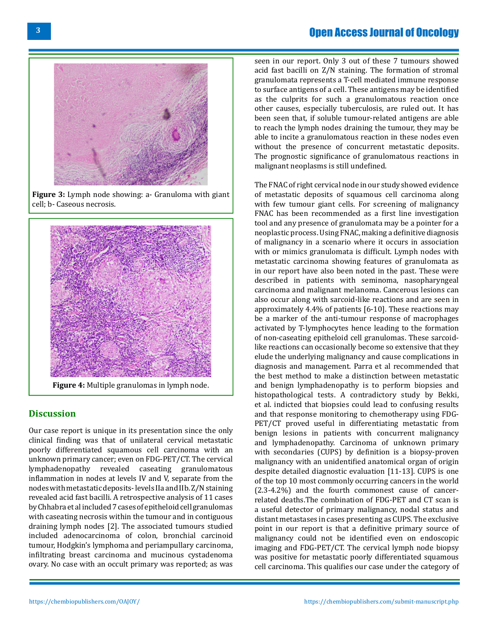# Open Access Journal of Oncology



**Figure 3:** Lymph node showing: a- Granuloma with giant cell; b- Caseous necrosis.



**Discussion**

Our case report is unique in its presentation since the only clinical finding was that of unilateral cervical metastatic poorly differentiated squamous cell carcinoma with an unknown primary cancer; even on FDG-PET/CT. The cervical lymphadenopathy revealed caseating granulomatous inflammation in nodes at levels IV and V, separate from the nodes with metastatic deposits- levels IIa and IIb. Z/N staining revealed acid fast bacilli. A retrospective analysis of 11 cases by Chhabra et al included 7 cases of epitheloid cell granulomas with caseating necrosis within the tumour and in contiguous draining lymph nodes [2]. The associated tumours studied included adenocarcinoma of colon, bronchial carcinoid tumour, Hodgkin's lymphoma and periampullary carcinoma, infiltrating breast carcinoma and mucinous cystadenoma ovary. No case with an occult primary was reported; as was

seen in our report. Only 3 out of these 7 tumours showed acid fast bacilli on Z/N staining. The formation of stromal granulomata represents a T-cell mediated immune response to surface antigens of a cell. These antigens may be identified as the culprits for such a granulomatous reaction once other causes, especially tuberculosis, are ruled out. It has been seen that, if soluble tumour-related antigens are able to reach the lymph nodes draining the tumour, they may be able to incite a granulomatous reaction in these nodes even without the presence of concurrent metastatic deposits. The prognostic significance of granulomatous reactions in malignant neoplasms is still undefined.

The FNAC of right cervical node in our study showed evidence of metastatic deposits of squamous cell carcinoma along with few tumour giant cells. For screening of malignancy FNAC has been recommended as a first line investigation tool and any presence of granulomata may be a pointer for a neoplastic process. Using FNAC, making a definitive diagnosis of malignancy in a scenario where it occurs in association with or mimics granulomata is difficult. Lymph nodes with metastatic carcinoma showing features of granulomata as in our report have also been noted in the past. These were described in patients with seminoma, nasopharyngeal carcinoma and malignant melanoma. Cancerous lesions can also occur along with sarcoid-like reactions and are seen in approximately 4.4% of patients [6-10]. These reactions may be a marker of the anti-tumour response of macrophages activated by T-lymphocytes hence leading to the formation of non-caseating epitheloid cell granulomas. These sarcoidlike reactions can occasionally become so extensive that they elude the underlying malignancy and cause complications in diagnosis and management. Parra et al recommended that the best method to make a distinction between metastatic and benign lymphadenopathy is to perform biopsies and histopathological tests. A contradictory study by Bekki, et al. indicted that biopsies could lead to confusing results and that response monitoring to chemotherapy using FDG-PET/CT proved useful in differentiating metastatic from benign lesions in patients with concurrent malignancy and lymphadenopathy. Carcinoma of unknown primary with secondaries (CUPS) by definition is a biopsy-proven malignancy with an unidentified anatomical organ of origin despite detailed diagnostic evaluation [11-13]. CUPS is one of the top 10 most commonly occurring cancers in the world (2.3-4.2%) and the fourth commonest cause of cancerrelated deaths.The combination of FDG-PET and CT scan is a useful detector of primary malignancy, nodal status and distant metastases in cases presenting as CUPS. The exclusive point in our report is that a definitive primary source of malignancy could not be identified even on endoscopic imaging and FDG-PET/CT. The cervical lymph node biopsy was positive for metastatic poorly differentiated squamous cell carcinoma. This qualifies our case under the category of